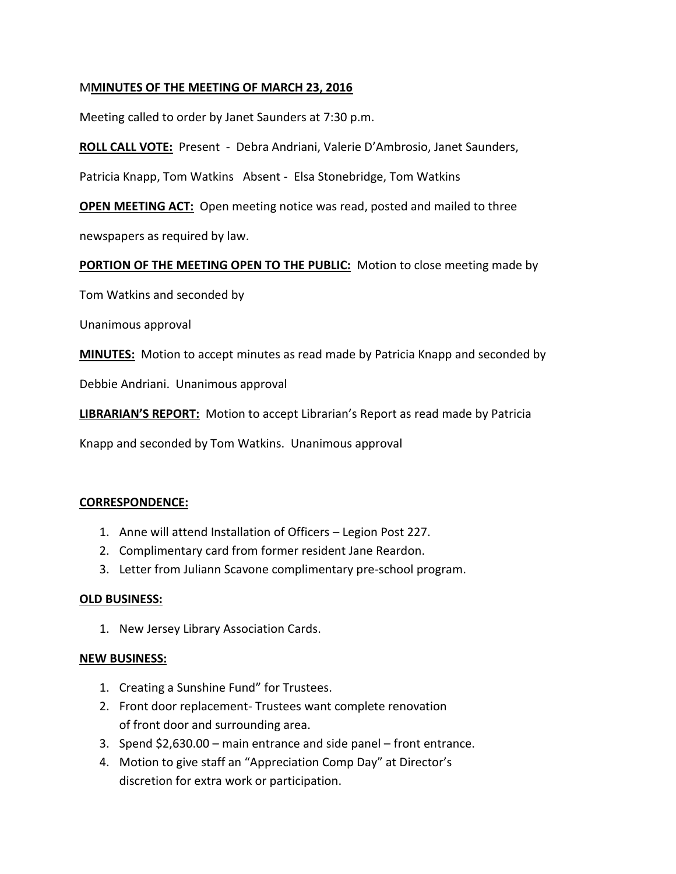## M**MINUTES OF THE MEETING OF MARCH 23, 2016**

Meeting called to order by Janet Saunders at 7:30 p.m.

**ROLL CALL VOTE:** Present - Debra Andriani, Valerie D'Ambrosio, Janet Saunders,

Patricia Knapp, Tom Watkins Absent - Elsa Stonebridge, Tom Watkins

**OPEN MEETING ACT:** Open meeting notice was read, posted and mailed to three newspapers as required by law.

**PORTION OF THE MEETING OPEN TO THE PUBLIC:** Motion to close meeting made by

Tom Watkins and seconded by

Unanimous approval

**MINUTES:** Motion to accept minutes as read made by Patricia Knapp and seconded by

Debbie Andriani. Unanimous approval

**LIBRARIAN'S REPORT:** Motion to accept Librarian's Report as read made by Patricia

Knapp and seconded by Tom Watkins. Unanimous approval

## **CORRESPONDENCE:**

- 1. Anne will attend Installation of Officers Legion Post 227.
- 2. Complimentary card from former resident Jane Reardon.
- 3. Letter from Juliann Scavone complimentary pre-school program.

## **OLD BUSINESS:**

1. New Jersey Library Association Cards.

## **NEW BUSINESS:**

- 1. Creating a Sunshine Fund" for Trustees.
- 2. Front door replacement- Trustees want complete renovation of front door and surrounding area.
- 3. Spend \$2,630.00 main entrance and side panel front entrance.
- 4. Motion to give staff an "Appreciation Comp Day" at Director's discretion for extra work or participation.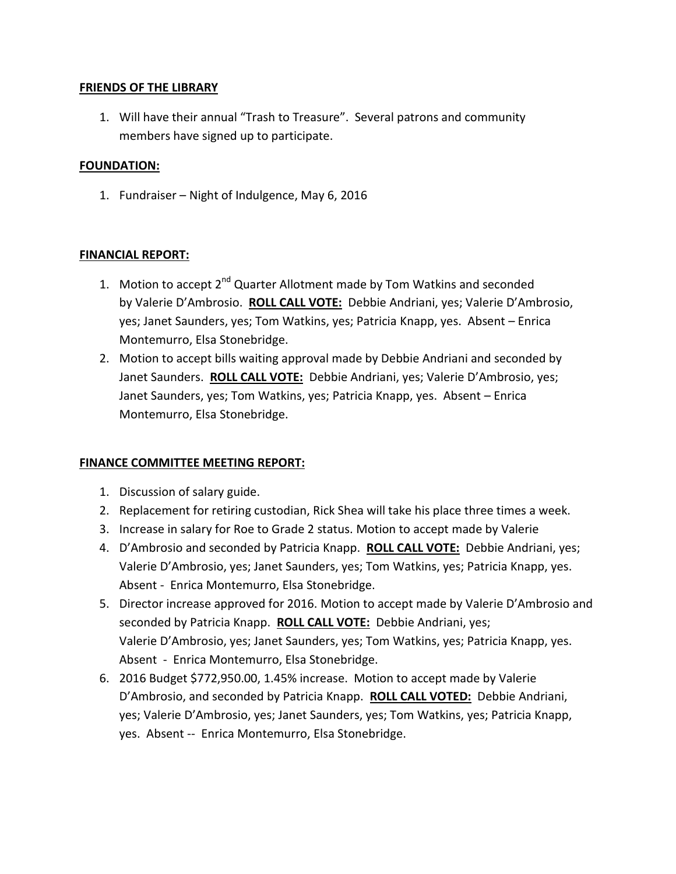## **FRIENDS OF THE LIBRARY**

1. Will have their annual "Trash to Treasure". Several patrons and community members have signed up to participate.

## **FOUNDATION:**

1. Fundraiser – Night of Indulgence, May 6, 2016

# **FINANCIAL REPORT:**

- 1. Motion to accept 2<sup>nd</sup> Quarter Allotment made by Tom Watkins and seconded by Valerie D'Ambrosio. **ROLL CALL VOTE:** Debbie Andriani, yes; Valerie D'Ambrosio, yes; Janet Saunders, yes; Tom Watkins, yes; Patricia Knapp, yes. Absent – Enrica Montemurro, Elsa Stonebridge.
- 2. Motion to accept bills waiting approval made by Debbie Andriani and seconded by Janet Saunders. **ROLL CALL VOTE:** Debbie Andriani, yes; Valerie D'Ambrosio, yes; Janet Saunders, yes; Tom Watkins, yes; Patricia Knapp, yes. Absent – Enrica Montemurro, Elsa Stonebridge.

# **FINANCE COMMITTEE MEETING REPORT:**

- 1. Discussion of salary guide.
- 2. Replacement for retiring custodian, Rick Shea will take his place three times a week.
- 3. Increase in salary for Roe to Grade 2 status. Motion to accept made by Valerie
- 4. D'Ambrosio and seconded by Patricia Knapp. **ROLL CALL VOTE:** Debbie Andriani, yes; Valerie D'Ambrosio, yes; Janet Saunders, yes; Tom Watkins, yes; Patricia Knapp, yes. Absent - Enrica Montemurro, Elsa Stonebridge.
- 5. Director increase approved for 2016. Motion to accept made by Valerie D'Ambrosio and seconded by Patricia Knapp. **ROLL CALL VOTE:** Debbie Andriani, yes; Valerie D'Ambrosio, yes; Janet Saunders, yes; Tom Watkins, yes; Patricia Knapp, yes. Absent - Enrica Montemurro, Elsa Stonebridge.
- 6. 2016 Budget \$772,950.00, 1.45% increase. Motion to accept made by Valerie D'Ambrosio, and seconded by Patricia Knapp. **ROLL CALL VOTED:** Debbie Andriani, yes; Valerie D'Ambrosio, yes; Janet Saunders, yes; Tom Watkins, yes; Patricia Knapp, yes. Absent -- Enrica Montemurro, Elsa Stonebridge.